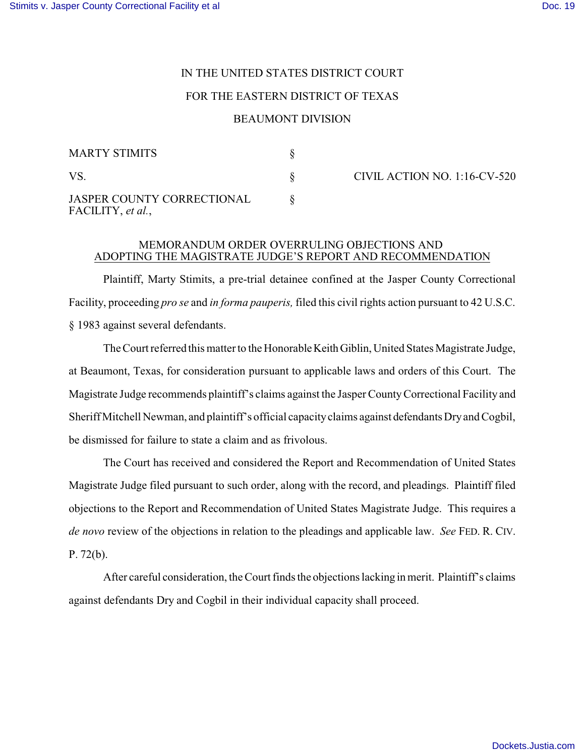## IN THE UNITED STATES DISTRICT COURT

## FOR THE EASTERN DISTRICT OF TEXAS

## BEAUMONT DIVISION

| <b>MARTY STIMITS</b>                            |  |
|-------------------------------------------------|--|
| VS.                                             |  |
| JASPER COUNTY CORRECTIONAL<br>FACILITY, et al., |  |

CIVIL ACTION NO. 1:16-CV-520

## MEMORANDUM ORDER OVERRULING OBJECTIONS AND ADOPTING THE MAGISTRATE JUDGE'S REPORT AND RECOMMENDATION

Plaintiff, Marty Stimits, a pre-trial detainee confined at the Jasper County Correctional Facility, proceeding *pro se* and *in forma pauperis,* filed this civil rights action pursuant to 42 U.S.C. § 1983 against several defendants.

The Court referred this matter to the Honorable Keith Giblin, United States Magistrate Judge, at Beaumont, Texas, for consideration pursuant to applicable laws and orders of this Court. The Magistrate Judge recommends plaintiff's claims against the Jasper County Correctional Facility and Sheriff Mitchell Newman, and plaintiff's official capacity claims against defendants Dry and Cogbil, be dismissed for failure to state a claim and as frivolous.

The Court has received and considered the Report and Recommendation of United States Magistrate Judge filed pursuant to such order, along with the record, and pleadings. Plaintiff filed objections to the Report and Recommendation of United States Magistrate Judge. This requires a *de novo* review of the objections in relation to the pleadings and applicable law. *See* FED. R. CIV. P. 72(b).

After careful consideration, the Court finds the objections lacking in merit. Plaintiff's claims against defendants Dry and Cogbil in their individual capacity shall proceed.